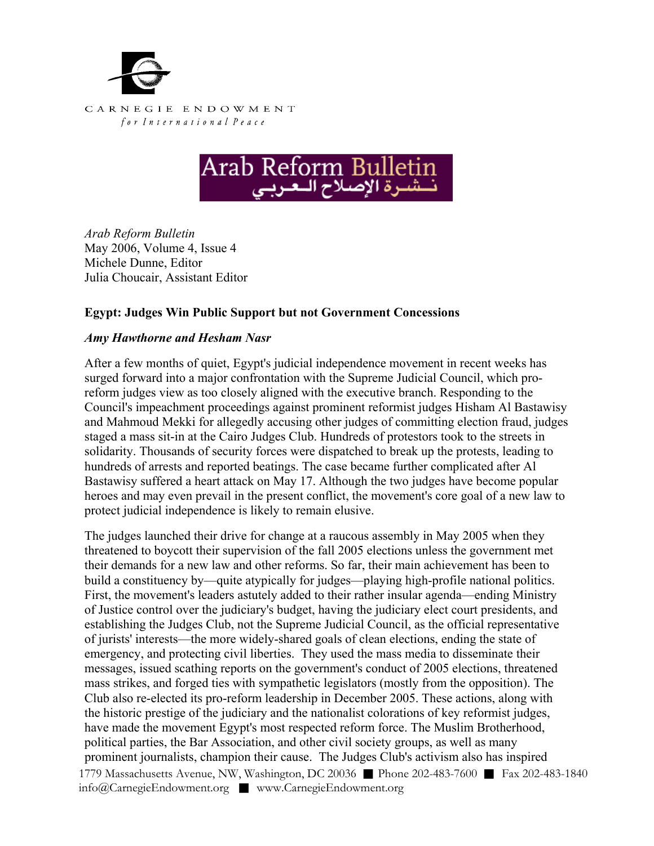



*Arab Reform Bulletin*  May 2006, Volume 4, Issue 4 Michele Dunne, Editor Julia Choucair, Assistant Editor

## **Egypt: Judges Win Public Support but not Government Concessions**

## *Amy Hawthorne and Hesham Nasr*

After a few months of quiet, Egypt's judicial independence movement in recent weeks has surged forward into a major confrontation with the Supreme Judicial Council, which proreform judges view as too closely aligned with the executive branch. Responding to the Council's impeachment proceedings against prominent reformist judges Hisham Al Bastawisy and Mahmoud Mekki for allegedly accusing other judges of committing election fraud, judges staged a mass sit-in at the Cairo Judges Club. Hundreds of protestors took to the streets in solidarity. Thousands of security forces were dispatched to break up the protests, leading to hundreds of arrests and reported beatings. The case became further complicated after Al Bastawisy suffered a heart attack on May 17. Although the two judges have become popular heroes and may even prevail in the present conflict, the movement's core goal of a new law to protect judicial independence is likely to remain elusive.

1779 Massachusetts Avenue, NW, Washington, DC 20036 ■ Phone 202-483-7600 ■ Fax 202-483-1840 info@CarnegieEndowment.org ■ www.CarnegieEndowment.org The judges launched their drive for change at a raucous assembly in May 2005 when they threatened to boycott their supervision of the fall 2005 elections unless the government met their demands for a new law and other reforms. So far, their main achievement has been to build a constituency by—quite atypically for judges—playing high-profile national politics. First, the movement's leaders astutely added to their rather insular agenda—ending Ministry of Justice control over the judiciary's budget, having the judiciary elect court presidents, and establishing the Judges Club, not the Supreme Judicial Council, as the official representative of jurists' interests—the more widely-shared goals of clean elections, ending the state of emergency, and protecting civil liberties. They used the mass media to disseminate their messages, issued scathing reports on the government's conduct of 2005 elections, threatened mass strikes, and forged ties with sympathetic legislators (mostly from the opposition). The Club also re-elected its pro-reform leadership in December 2005. These actions, along with the historic prestige of the judiciary and the nationalist colorations of key reformist judges, have made the movement Egypt's most respected reform force. The Muslim Brotherhood, political parties, the Bar Association, and other civil society groups, as well as many prominent journalists, champion their cause. The Judges Club's activism also has inspired